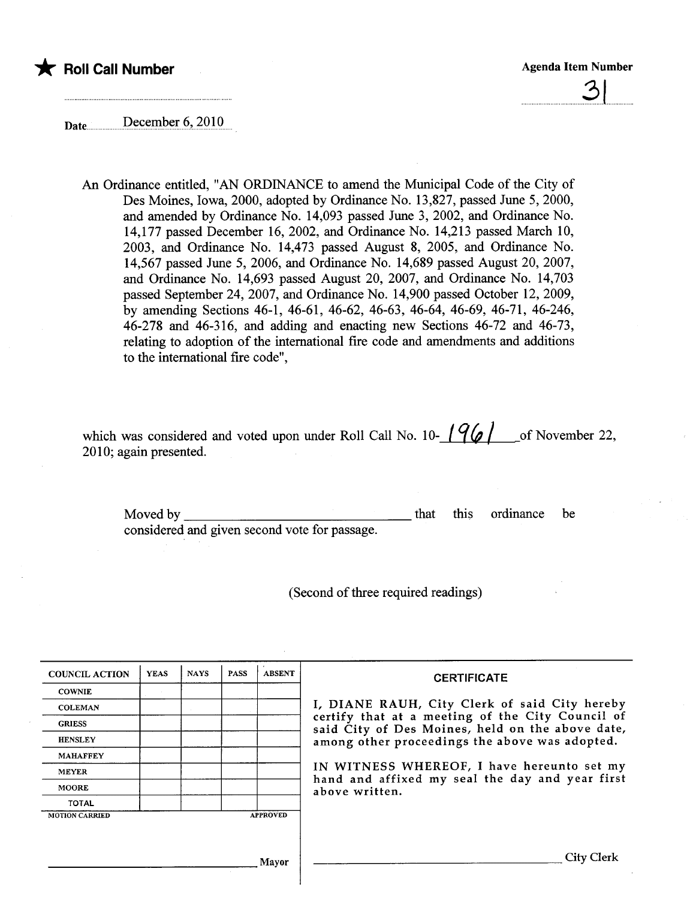

 $\sim$ 

Date .............December 6, 2010

An Ordinance entitled, "AN ORDINANCE to amend the Municipal Code of the City of Des Moines, Iowa, 2000, adopted by Ordinance No. 13,827, passed June 5, 2000, and amended by Ordinance No. 14,093 passed June 3, 2002, and Ordinance No. 14,177 passed December 16, 2002, and Ordinance No. 14,213 passed March 10, 2003, and Ordinance No. 14,473 passed August 8, 2005, and Ordinance No. 14,567 passed June 5, 2006, and Ordinance No. 14,689 passed August 20, 2007, and Ordinance No. 14,693 passed August 20, 2007, and Ordinance No. 14,703 passed September 24,2007, and Ordinance No. 14,900 passed October 12,2009, by amending Sections 46-1, 46-61, 46-62, 46-63, 46-64, 46-69, 46-71, 46-246, 46-278 and 46-316, and adding and enacting new Sections 46-72 and 46-73, relating to adoption of the international fire code and amendments and additions to the international fire code",

| which was considered and voted upon under Roll Call No. 10- $\frac{196}{ }$ of November 22, |  |  |  |
|---------------------------------------------------------------------------------------------|--|--|--|
| 2010; again presented.                                                                      |  |  |  |

Moved by \_\_ considered and given second vote for passage. that this ordinance be

(Second of three required readings)

| <b>COUNCIL ACTION</b> | <b>YEAS</b> | <b>NAYS</b> | <b>PASS</b> | <b>ABSENT</b>   | <b>CERTIFICATE</b>                                                                                   |
|-----------------------|-------------|-------------|-------------|-----------------|------------------------------------------------------------------------------------------------------|
| <b>COWNIE</b>         |             |             |             |                 |                                                                                                      |
| <b>COLEMAN</b>        |             |             |             |                 | I, DIANE RAUH, City Clerk of said City hereby                                                        |
| <b>GRIESS</b>         |             |             |             |                 | certify that at a meeting of the City Council of<br>said City of Des Moines, held on the above date, |
| <b>HENSLEY</b>        |             |             |             |                 | among other proceedings the above was adopted.                                                       |
| <b>MAHAFFEY</b>       |             |             |             |                 |                                                                                                      |
| <b>MEYER</b>          |             |             |             |                 | IN WITNESS WHEREOF, I have hereunto set my                                                           |
| <b>MOORE</b>          |             |             |             |                 | hand and affixed my seal the day and year first<br>above written.                                    |
| <b>TOTAL</b>          |             |             |             |                 |                                                                                                      |
| <b>MOTION CARRIED</b> |             |             |             | <b>APPROVED</b> |                                                                                                      |
|                       |             |             |             |                 |                                                                                                      |
|                       |             |             |             | Mayor           | City Clerk                                                                                           |

 $\mathbf{\cdot}$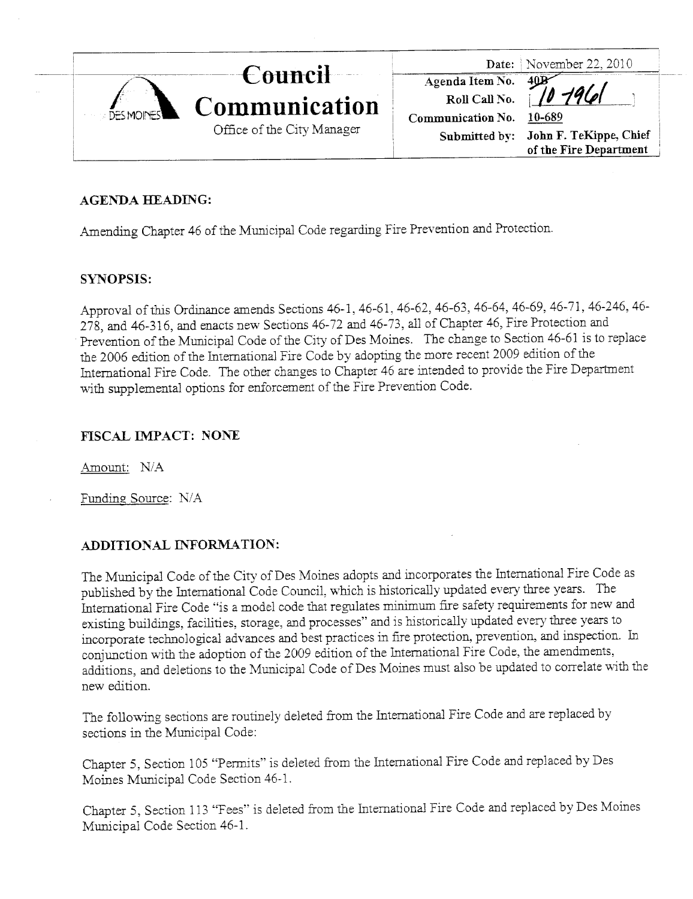|  |                   |                            |                          | Date: November 22, 2010              |
|--|-------------------|----------------------------|--------------------------|--------------------------------------|
|  | <b>DES MOINES</b> | Council                    |                          |                                      |
|  |                   | Communication              | Agenda Item No. 40B      |                                      |
|  |                   |                            | Communication No. 10-689 |                                      |
|  |                   | Office of the City Manager |                          | Submitted by: John F. TeKippe, Chief |
|  |                   |                            |                          | of the Fire Department               |

# AGENDA HEADING:

Amending Chapter 46 of the Municipal Code regarding Fire Prevention and Protection.

# SYNOPSIS:

Approval of ths Ordiance amends Sections 46-1, 46-61, 46-62, 46-63, 46-64, 46-69, 46-71, 46-246, 46- 278, and 46-316, and enacts new Sections 46-72 and 46-73, all of Chapter 46, Fire Protection and Prevention of the Muncipal Code of the City of Des Moines. The change to Section 46-61 is to replace the 2006 edition of the International Fire Code by adopting the more recent 2009 edition of the International Fire Code. The other changes to Chapter 46 are intended to provide the Fire Department with supplemental options for enforcement of the Fire Prevention Code.

# FISCAL IMPACT: NONE

Amount: N/A

Funding Source: N/A

# ADDITIONAL INFORMATION:

The Municipal Code of the City of Des Moines adopts and incorporates the International Fire Code as published by the International Code Council, which is historically updated every thee years. The International Fire Code "is a model code that regulates minimum fire safety requirements for new and existing buildigs, facilities, storage, and processes" and is historically updated every thee years to incorporate technological advances and best practices in fie protection, prevention, and inspection. In conjunction with the adoption of the 2009 edition of the International Fire Code, the amendments, additions, and deletions to the Muncipal Code of Des Moines must also be updated to correlate with the new edition.

The following sections are routinely deleted from the International Fire Code and are replaced by sections in the Municipal Code:

Chapter 5, Section 105 "Pennits" is deleted from the International Fire Code and replaced by Des Moines Municipal Code Section 46-1.

Chapter 5, Section 113 "Fees" is deleted from the International Fire Code and replaced by Des Moines Muncipal Code Section 46-1.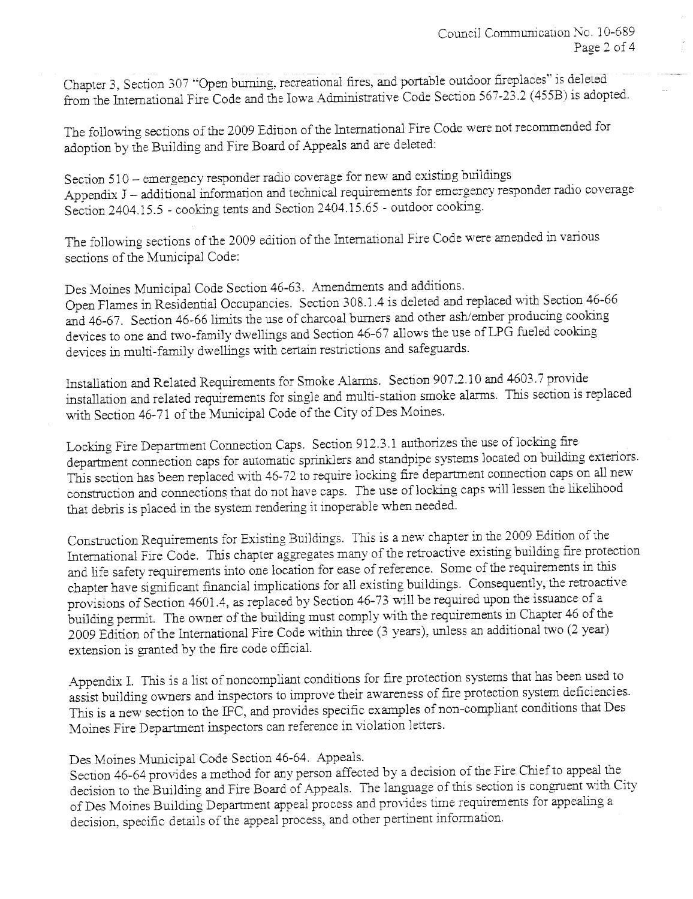Chapter 3, Section 307 "Open burning, recreational fires, and portable outdoor fireplaces" is deleted from the International Fire Code and the Iowa Administrative Code Section 567-23.2 (455B) is adopted.

The followig sections of the 2009 Edition of the International Fire Code were not recommended for adoption by the Building and Fire Board of Appeals and are deleted:

Section 510 - emergency responder radio coverage for new and existing buildings Appendix J - additional information and technical requirements for emergency responder radio coverage Section 2404.15.5 - cooking tents and Section 2404.15.65 - outdoor cookig.

The following sections of the 2009 edition of the International Fire Code were amended in varous sections of the Municipal Code:

Des Moines Municipal Code Section 46-63. Amendments and additions. Open Flames in Residential Occupancies. Section 308.1.4 is deleted and replaced \\'ith Section 46-66 and 46-67. Section 46-66 limits the use of charcoal burners and other ash/ember producing cooking devices to one and two-famly dwelligs and Section 46-67 allows the use of LPG fueled cookig devices in multi-family dwellings with certain restrictions and safeguards.

Installation and Related Requirements for Smoke Alarms. Section 907.2.10 and 4603.7 provide installation and related requirements for single and multi-station smoke alans. This section is replaced with Section 46-71 of the Municipal Code of the City of Des Moines.

Locking Fire Department Connection Caps. Section 912.3.1 authorizes the use of locking fire department connection caps for automatic sprinklers and standpipe systems located on building exteriors. This section has been replaced with 46-72 to require locking fire department connection caps on all new construction and connections that do not have caps. The use of locking caps will lessen the likelihood that debris is placed in the system rendering it inoperable when needed.

Construction Requirements for Existing Buildings. This is a new chapter in the 2009 Edition of the International Fire Code. This chapter aggregates many of the retroactive existing building fire protection and life safety requirements into one location for ease of reference. Some of the requirements in this chapter have significant financial implications for all existing buildings. Consequently, the retroactive provisions of Section 4601.4, as replaced by Section 46-73 will be required upon the issuance of a building permit. The owner of the building must comply with the requirements in Chapter 46 of the 2009 Edition of the International Fire Code within three (3 years), unless an additional two (2 year) extension is granted by the fie code officiaL.

Appendix 1. This is a list of noncompliant conditions for fie protection systems that has been used to assist building owners and inspectors to improve their awareness of fie protection system deficiencies. This is a new section to the IFC, and provides specific examples of non-compliant conditions that Des Moines Fire Department inspectors can reference in violation letters.

Des Moines Municipal Code Section 46-64. Appeals.

Section 46-64 provides a method for any person affected by a decision of the Fire Chief to appeal the decision to the Building and Fire Board of Appeals. The language of this section is congrent with City of Des Moines Building Department appeal process and provides time requirements for appealing a decision, specific details of the appeal process, and other pertinent information.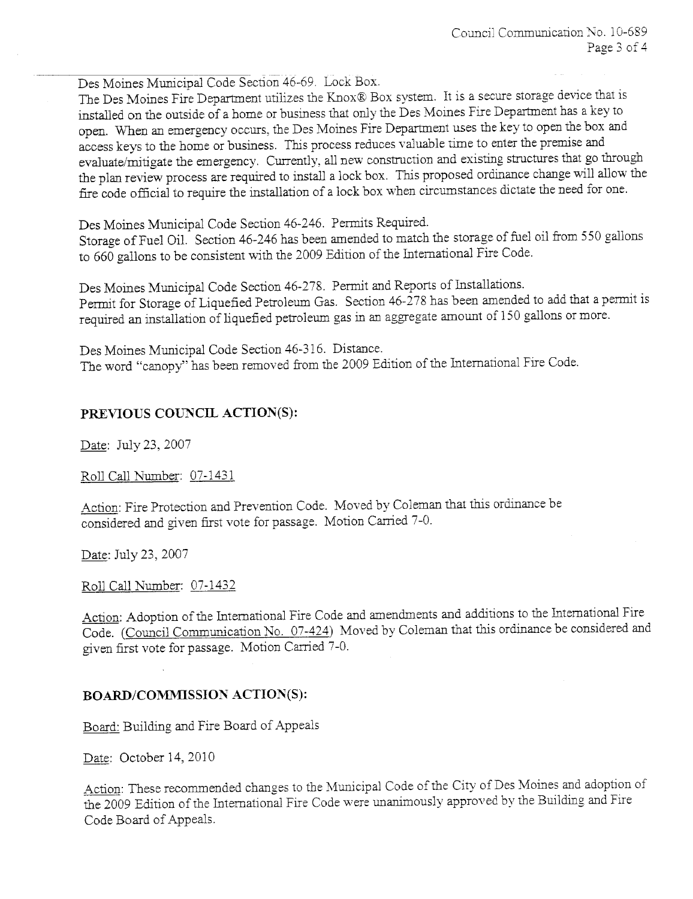Des Moines Muncipal Code Section 46-69. Lock Box.

The Des Moines Fire Department utilizes the Knox® Box system. It is a secure storage device that is installed on the outside of a home or business that only the Des Moines Fire Department has a key to open. When an emergency occurs, the Des Moines Fire Department uses the key to open the box and access keys to the home or business. This process reduces valuable time to enter the premise and evaluate/mitigate the emergency. Currently, all new construction and existing structures that go through the plan review process are required to install a lock box. This proposed ordinance change will allow the fire code official to require the installation of a lock box when circumstances dictate the need for one.

Des Moines Muncipal Code Section 46-246. Permts Required.

Storage of Fuel OiL. Section 46-246 has been amended to match the storage of fuel oil from 550 gallons to 660 gallons to be consistent with the 2009 Edition of the International Fire Code.

Des Moines Municipal Code Section 46-278. Permit and Reports of Installations. Permit for Storage of Liquefied Petroleum Gas. Section 46-278 has been amended to add that a permit is required an installation of liquefied petroleum gas in an aggregate amount of 150 gallons or more.

Des Moines Muncipal Code Section 46-316. Distance. The word "canopy" has been removed from the 2009 Edition of the International Fire Code.

# PREVIOUS COUNCIL ACTION(S):

Date: July 23, 2007

Roll Call Number: 07-1431

Action: Fire Protection and Prevention Code. Moved by Coleman that this ordinance be considered and given first vote for passage. Motion Carried 7-0.

Date: July 23,2007

Roll Call Number: 07-1432

Action: Adoption of the International Fire Code and amendments and additions to the International Fire Code. (Council Communication No. 07-424) Moved by Coleman that this ordinance be considered and given first vote for passage. Motion Carried 7-0.

# BOARD/COMMISSION ACTION(S):

Board: Building and Fire Board of Appeals

Date: October 14, 2010

Action: These recommended changes to the Municipal Code of the City of Des Moines and adoption of the 2009 Edition of the International Fire Code were unanimously approved by the Building and Fire Code Board of Appeals.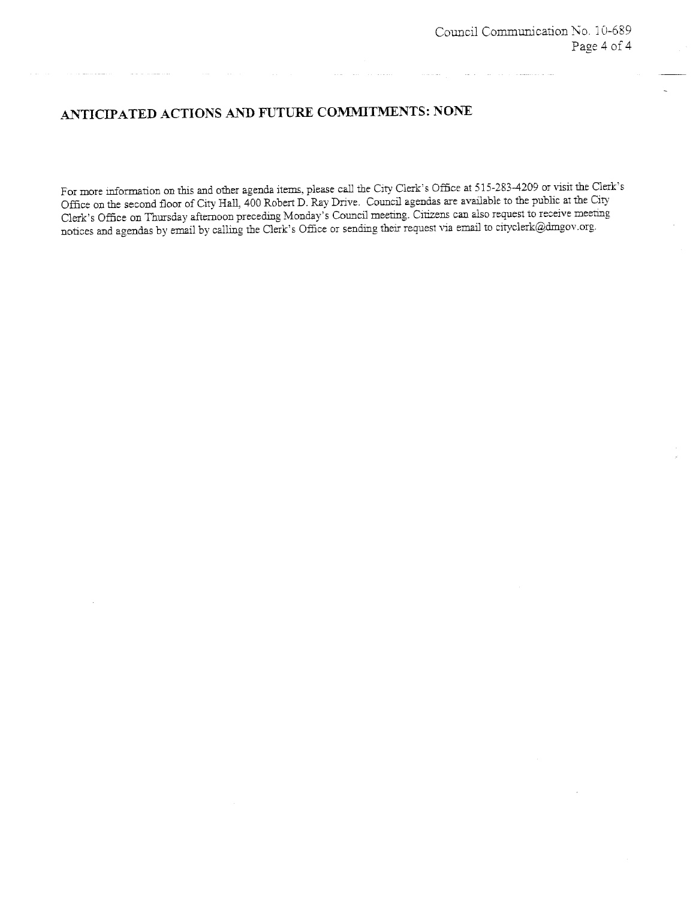# ANTICIPATED ACTIONS AND FUTURE COMMITMENTS: NONE

For more information on this and other agenda items, please call the City Clerk's Office at 515-283-4209 or visit the Clerk's Office on the second floor of City Hall, 400 Robert D. Ray Drive. Council agendas are available to the public at the City Clerk's Office on Thursday afternoon preceding Monday's Council meeting. Citizens can also request to receive meeting. notices and agendas by email by calling the Clerk's Office or sending their request via email to cityclerk@dmgov.org.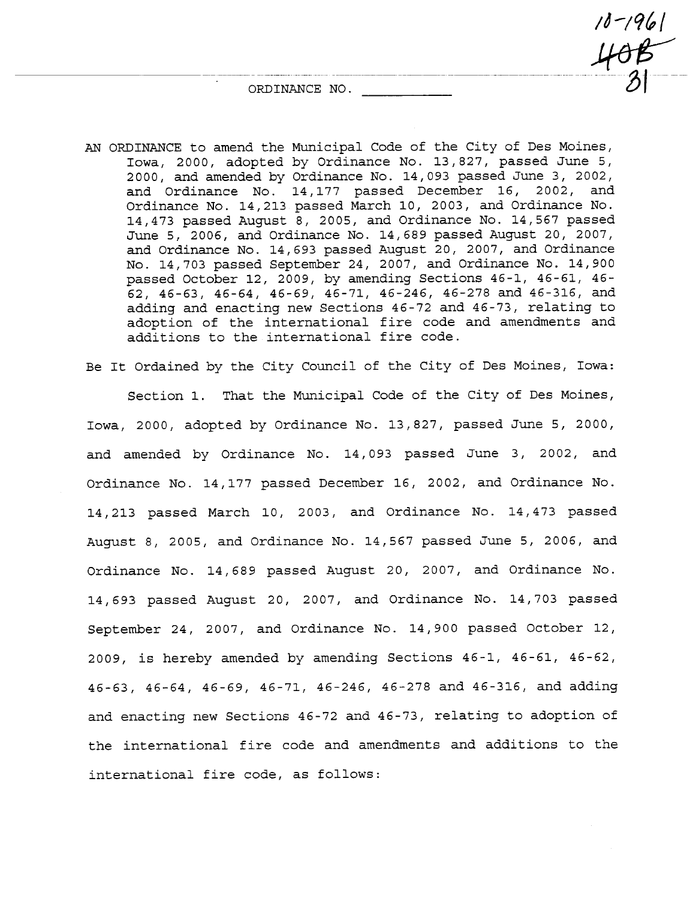ORDINANCE NO.

AN ORDINANCE to amend the Municipal Code of the City of Des Moines, Iowa, 2000, adopted by Ordinance No. 13,827, passed June 5, 2000, and amended by Ordinance No. 14, 093 passed June 3, 2002, and Ordinance No. 14,177 passed December 16, 2002, and Ordinance No. 14,213 passed March 10, 2003, and Ordinance No. 14,473 passed August 8, 2005, and Ordinance No. 14,567 passed June 5, 2006, and Ordinance No. 14,689 passed August 20, 2007, and Ordinance No. 14,693 passed August 20, 2007, and Ordinance No. 14, 703 passed September 24, 2007, and Ordinance No. 14, 900 passed October 12, 2009, by amending Sections 46-1, 46-61, 46-62, 46-63, 46-64, 46-69, 46-71, 46-246, 46-278 and 46-316, and adding and enacting new Sections 46-72 and 46-73, relating to adoption of the international fire code and amendments and additions to the international fire code.

Be It Ordained by the City Council of the City of Des Moines, Iowa:

Section 1. That the Municipal Code of the City of Des Moines, Iowa, 2000, adopted by Ordinance No. 13,827, passed June 5, 2000, and amended by Ordinance No.  $14,093$  passed June 3, 2002, and Ordinance No. 14,177 passed December 16, 2002, and Ordinance No. 14,213 passed March 10, 2003, and Ordinance No. 14,473 passed August 8, 2005, and Ordinance No.  $14,567$  passed June 5, 2006, and Ordinance No. 14,689 passed August 20, 2007, and Ordinance No. 14/693 passed August 20, 2007, and Ordinance No. 14,703 passed September 24, 2007, and Ordinance No. 14,900 passed October 12, 2009, is hereby amended by amending Sections 46-1, 46-61, 46-62, 46-63,46-64,46-69,46-71,46-246/46-278 and 46-316, and adding and enacting new Sections 46-72 and 46-73, relating to adoption of the international fire code and amendments and additions to the international fire code, as follows:

 $10 - 1961$ <br> $408$  $\mathcal{D}$  1 --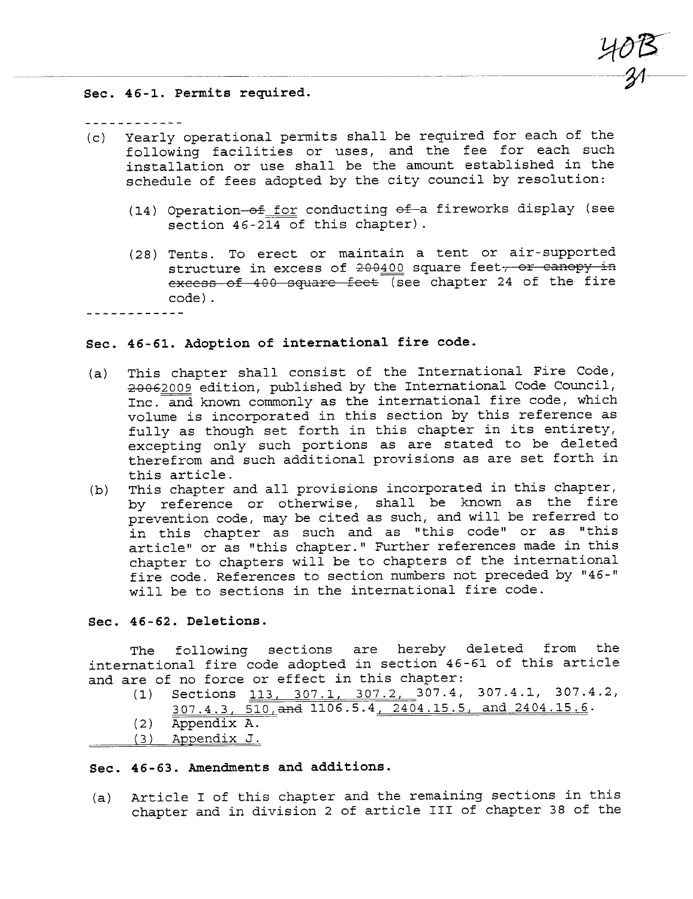Sec. 46-1. Permits required.

- (c) Yearly operational permits shall be required for each of the following facilities or uses, and the fee for each such installation or use shall be the amount established in the schedule of fees adopted by the city council by resolution:
	- (14) Operation- $\frac{6f}{f}$  for conducting  $\frac{6f}{f}$  fireworks display (see section 46-214 of this chapter).

 $40B$  $-24$ 

(28) Tents. To erect or maintain a tent or air- supported structure in excess of  $200400$  square feet, or canopy in  $excess of 400 square feet$  (see chapter 24 of the fire code) .

 $- - - - - - - - -$ 

## Sec. 46-61. Adoption of international fire code.

- (a) This chapter shall consist of the International Fire Code,<br> $20062009$  edition, published by the International Code Council, Inc. and known commonly as the international fire code, which volume is incorporated in this section by this reference as fully as though set forth in this chapter in its entirety, excepting only such portions as are stated to be deleted therefrom and such additional provisions as are set forth in this article.
- (b) This chapter and all provisions incorporated in this chapter, by reference or otherwise, shall be known as the fire prevention code, may be cited as such, and will be referred to in this chapter as such and as "this code" or as "this article" or as "this chapter." Further references made in this chapter to chapters will be to chapters of the international fire code. References to section numbers not preceded by "46-" will be to sections in the international fire code.

## Sec. 46 - 62. Deletions.

The following sections are hereby deleted from the international fire code adopted in section 46-61 of this article and are of no force or effect in this chapter:

- (1) Sections 113, 307.1, 307.2, 307.4, 307.4.1, 307.4.2, 307.4.3, 510, and 1106.5.4, 2404.15.5, and 2404.15.6.
- ( 2 ) Appendix A.
- ( 3 ) Appendix J.

# Sec. 46-63. Amendments and additions.

(a) Article I of this chapter and the remaining sections in this chapter and in division 2 of article III of chapter 38 of the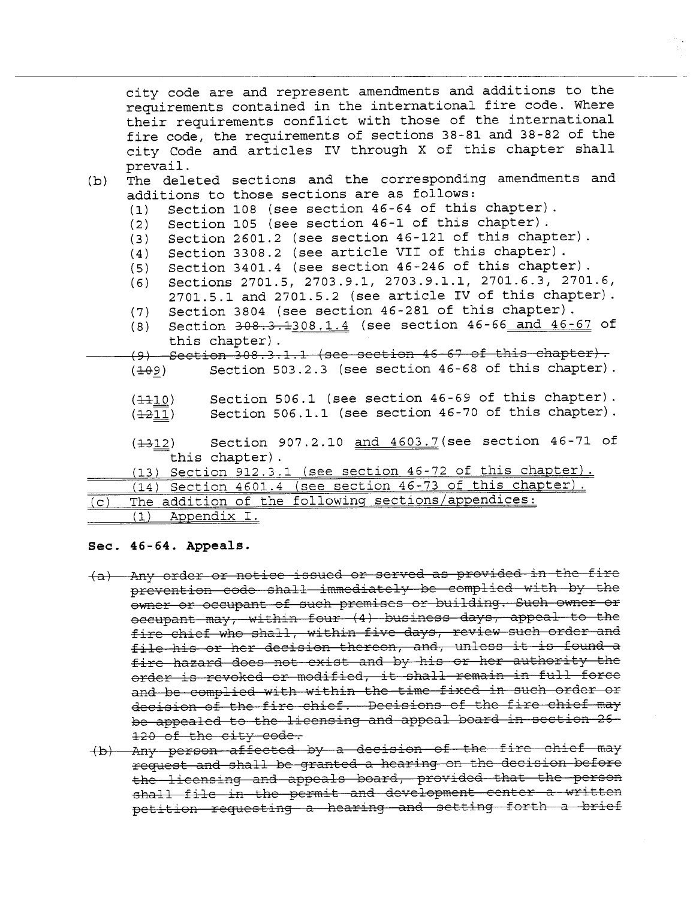city code are and represent amendments and additions to the requirements contained in the international fire code. Where their requirements conflict with those of the international fire code, the requirements of sections 38-81 and 38-82 of the city Code and articles IV through X of this chapter shall prevail. (b) The deleted sections and the corresponding amendments and additions to those sections are as follows: (1) Section 108 (see section 46-64 of this chapter) . (2) Section 105 (see section 46-1 of this chapter) . (3) Section 2601.2 (see section 46-121 of this chapter) . (4) Section 3308.2 (see article VIi of this chapter). (5) Section 3401.4 (see section 46-246 of this chapter) . Sections 2701.5, 2703.9.1, 2703.9.1.1, 2701.6.3, 2701.6, 2701.5.1 and 2701.5.2 (see article iV of this chapter). (7) Section 3804 (see section  $46-281$  of this chapter).<br>(8) Section  $308.3.1308.1.4$  (see section  $46-66$  and  $46-$ Section 308.3.1308.1.4 (see section 46-66 and 46-67 of this chapter) .  $(9)$  Section 308.3.1.1 (see section 46 67 of this chapter).  $(409)$  Section 503.2.3 (see section 46-68 of this chapter).  $(110)$  $(1211)$ Section 506.1 (see section 46-69 of this chapter). Section 506.1.1 (see section 46-70 of this chapter). (1312) Section 907.2.10 and 4603.7 (see section 46-71 of

this chapter) .

# (13) Section 912.3.1 (see section 46-72 of this chapter).

(14) Section 4601.4 (see section 46-73 of this chapter)

(c) The addition of the followinq sections/appendices:

( 1) Appendix I.

## Sec. 46-64. Appeals.

- (a) Any order or notice issued or served as provided in the fire<br>prevention code shall immediately be complied with by the owner or occupant of such premises or building. Such owner or occupant may, within four (4) business days, appeal to the fire chief who shall, within five days, review such order and file his or her decision thereon, and, unless it is found a fire hazard does not exist and by his or her authority the order is revoked or modified, it shall remain in full force and be complied with within the time fixed in such order or decision of the fire chief. Decisions of the fire chief may be appealed to the licensing and appeal board in section 26-120 of the city code.
- (b) Any person affected by a decision of the fire chief may request and shall be granted a hearing on the decision before the licensing and appeals board, provided that the person<br>shall file in the permit and development center a written petition requesting a hearing and setting forth a brief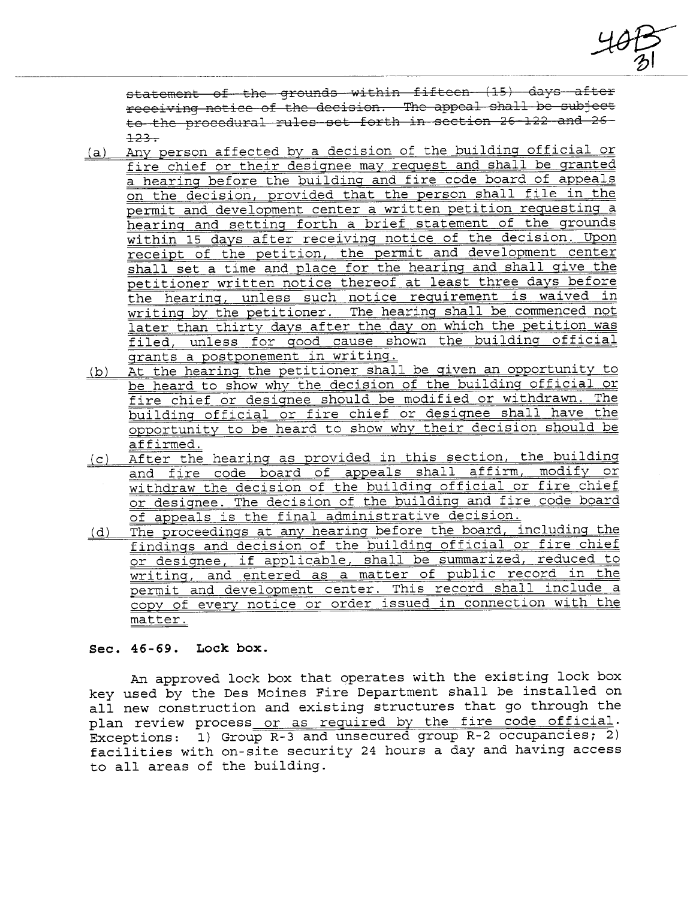$\frac{40}{10}$ 

statement of the grounds within fifteen (15) days after receiving notice of the decision. The appeal shall be subject<br>to the procedural rules set forth in section 26-122 and 26-<br>123.<br>Any person affected by a decision of the building official or

- (a) Any person affected by a decision of the building official or fire chief or their designee may request and shall be qranted a hearing before the building and fire code board of appeals on the decision, provided that the person shall file in the permit and development center a written petition requestinq a hearing and settinq forth a brief statement of the grounds within 15 days after receivinq notice of the decision. Upon receipt of the petition, the permit and development center shall set a time and place for the hearinq and shall qive the petitioner written notice thereof at least three days before the hearinq, unless such notice requirement is waived in writing by the petitioner. The hearing shall be commenced not later than thirty days after the day on which the petition was filed, unless for qood cause shown the buildinq official grants a postponement in writinq.
- (b) At the hearing the petitioner shall be qiven an opportunity to be heard to show why the decision of the building official or fire chief or designee should be modified or withdrawn. The building official or fire chief or desiqnee shall have the opportunity to be heard to show why their decision should be affirmed.
- (c) After the hearinq as provided in this section, the building and fire code board of appeals shall affirm, modify or withdraw the decision of the buildinq official or fire chief or designee. The decision of the buildinq and fire code board of appeals is the final administrative decision.
- (d) The proceedings at any hearing before the board, includinq the findings and decision of the building official or fire chief<br>or designee, if applicable, shall be summarized, reduced to writing, and entered as a matter of public record in the permit and development center. This record shall include a copy of every notice or order issued in connection with the matter.

## See. 46 - 69. Loek box.

An approved lock box that operates with the existing lock box key used by the Des Moines Fire Department shall be installed on all new construction and existing structures that go through the plan review process or as required by the fire code official. Exceptions: 1) Group R-3 and unsecured group R-2 occupancies; 2) facilities with on-site security 24 hours a day and having access to all areas of the building.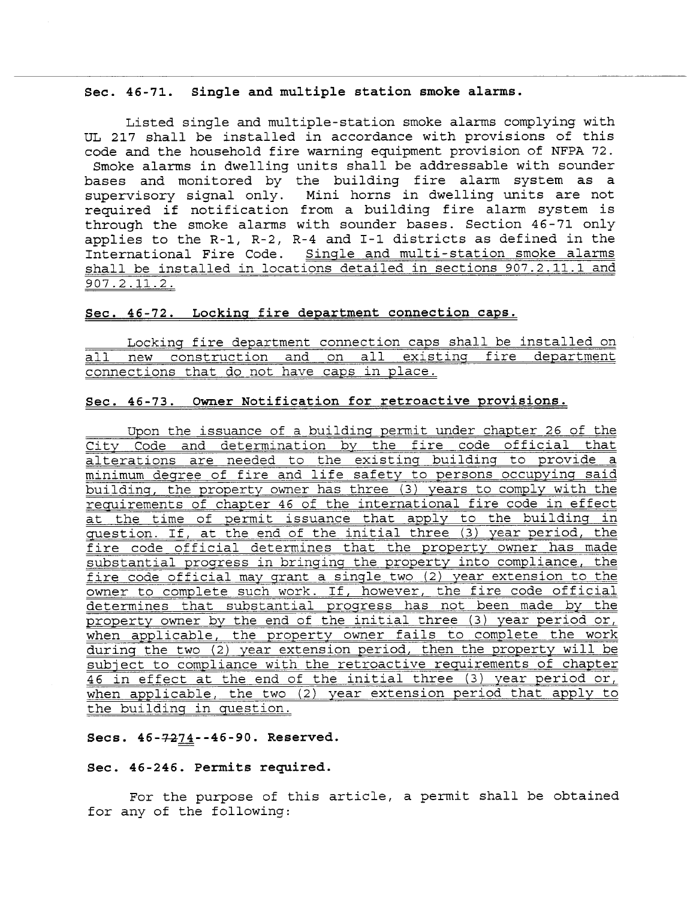#### Sec. 46-71. Single and multiple station smoke alarms.

Listed single and multiple-station smoke alarms complying with UL 217 shall be installed in accordance with provisions of this code and the household fire warning equipment provision of NFPA 72. Smoke alarms in dwelling units shall be addressable with sounder bases and monitored by the building fire alarm system as a supervisory signal only. Mini horns in dwelling units are not required if notification from a building fire alarm system is through the smoke alarms with sounder bases. Section 46-71 only applies to the R-l, R-2, R-4 and I-I districts as defined in the International Fire Code. Single and multi-station smoke alarms shall be installed in locations detailed in sections 907.2.11.1 and 907.2.11.2.

## Sec. 46-72. Lockinq fire department connection caps.

Locking fire department connection caps shall be installed on all new construction and on all existing fire department connections that do not have caps in place.

## Sec. 46-73. Owner Notification for retroactive provisions.

Upon the issuance of a building permit under chapter 26 of the<br>City Code and determination by the fire code official that City Code and determination by the fire code official that<br>alterations are needed to the existing building to provide a minimum degree of fire and life safety to persons occupying said building, the property owner has three (3) years to comply with the requirements of chapter 46 of the international fire code in effect at the time of permit issuance that apply to the building in question. If, at the end of the initial three (3) year period, the fire code official determines that the property owner has made substantial progress in bringinq the property into compliance, the fire code official may grant a single two (2) year extension to the owner to complete such work. If, however, the fire code official determines that substantial progress has not been made by the property owner by the end of the initial three (3) year period or, when applicable, the property owner fails to complete the work during the two (2) year extension period, then the property will be subject to compliance with the retroactive requirements of chapter 46 in effect at the end of the initial three (3) year period or, when applicable, the two (2) year extension period that apply to the building in question.

#### Secs. 46-7274--46-90. Reserved.

#### Sec. 46-246. Permits required.

For the purpose of this article, a permit shall be obtained for any of the following: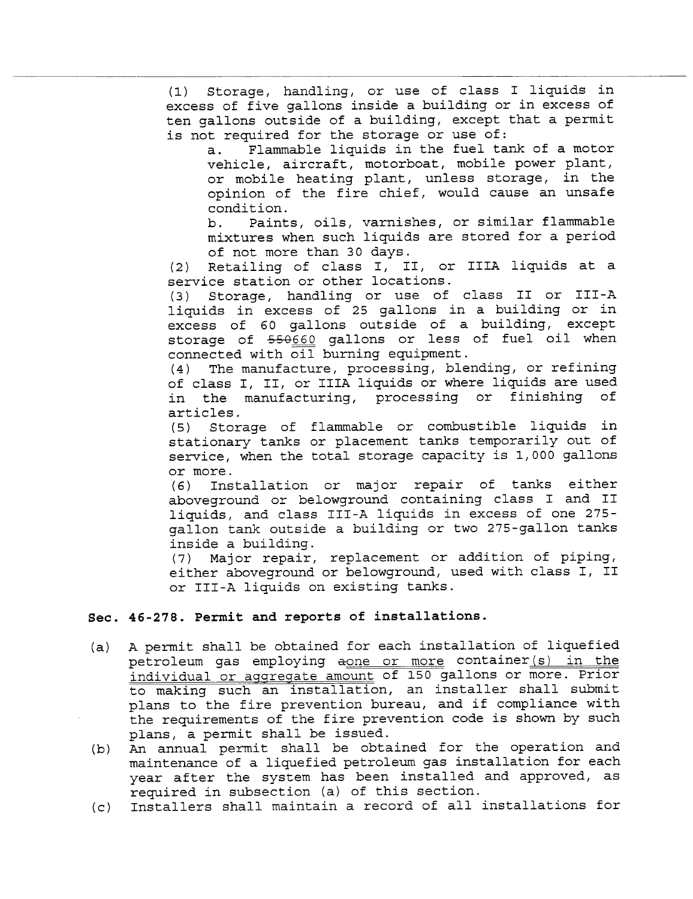(1) Storage, handling, or use of class I liquids in excess of five gallons inside a building or in excess of ten gallons outside of a building, except that a permit is not required for the storage or use of:

a. Flammable liquids in the fuel tank of a motor vehicle, aircraft, motorboat, mobile power plant, or mobile heating plant, unless storage, in the opinion of the fire chief, would cause an unsafe condition.

b. Paints, oils, varnishes, or similar flammable mixtures when such liquids are stored for a period of not more than 30 days.

(2) Retailing of class I, II, or IIIA liquids at a service station or other locations.

(3) Storage, handling or use of class II or III-A liquids in excess of 25 gallons in a building or in excess of 60 gallons outside of a building, except storage of 550660 gallons or less of fuel oil when connected with oil burning equipment.

(4) The manufacture, processing, blending, or refining of class I, II, or IIIA liquids or where liquids are used<br>in the manufacturing, processing or finishing of in the manufacturing, processing or finishing<br>articles.<br>(5) Storage of flammable or combustible liquids

(5) Storage of flammable or combustible liquids in stationary tanks or placement tanks temporarily out of service, when the total storage capacity is 1, 000 gallons or more.

(6) Installation or major repair of tanks either aboveground or belowground containing class I and II liquids, and class III-A liquids in excess of one 275 gallon tank outside a building or two 275-gallon tanks inside a building.

(7) Major repair, replacement or addition of piping, either aboveground or belowground, used with class I, II or III -A liquids on existing tanks.

#### Sec. 46-278. Permit and reports of installations.

- (a) A permit shall be obtained for each installation of liquefied petroleum gas employing aone or more container (s) in the individual or aqgregate amount of 150 gallons or more. Prior to making such an installation, an installer shall submit plans to the fire prevention bureau, and if compliance with the requirements of the fire prevention code is shown by such plans, a permit shall be issued.
- (b) An annual permit shall be obtained for the operation and maintenance of a liquefied petroleum gas installation for each year after the system has been installed and approved, as required in subsection (a) of this section.
- (c) Installers shall maintain a record of all installations for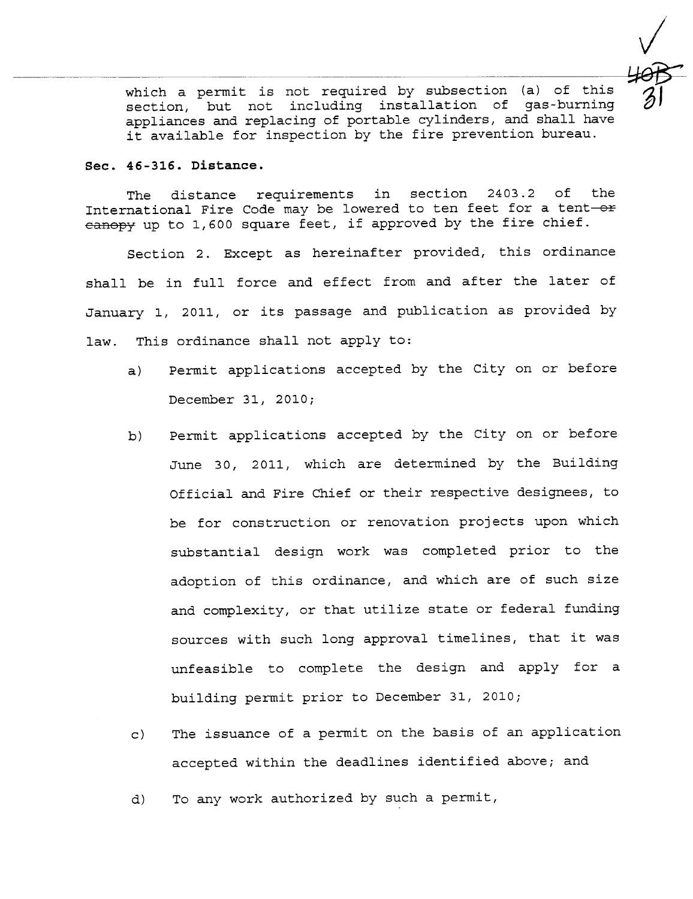which a permit is not required by subsection (a) of this section, but not including installation of gas-burning appliances and replacing of portable cylinders, and shall have it available for inspection by the fire prevention bureau.

#### Sec. 46-316. Distance.

The distance requirements in section 2403.2 of the International Fire Code may be lowered to ten feet for a tent-or  $e$ anopy up to 1,600 square feet, if approved by the fire chief.

Section 2. Except as hereinafter provided, this ordinance shall be in full force and effect from and after the later of January 1, 2011, or its passage and publication as provided by law. This ordinance shall not apply to:

- a) Permit applications accepted by the City on or before December 31, 2010;
- b) Permit applications accepted by the City on or before June 30, 2011, which are determined by the Building Official and Fire Chief or their respective designees, to be for construction or renovation projects upon which substantial design work was completed prior to the adoption of this ordinance, and which are of such size and complexity, or that utilize state or federal funding sources with such long approval timelines, that it was unfeasible to complete the design and apply for a building permit prior to December 31, 2010¡
- c) The issuance of a permit on the basis of an application accepted within the deadlines identified above; and
- d) To any work authorized by such a permit,

 $\sqrt{\sqrt{2}}$  $\frac{1}{31}$  $\mathcal{D}$